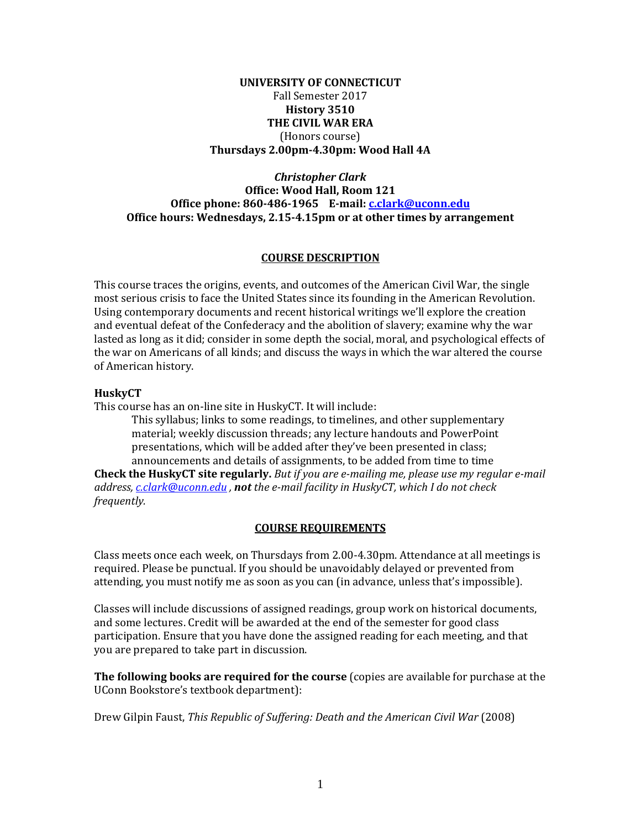### **UNIVERSITY OF CONNECTICUT** Fall Semester 2017 **History 3510 THE CIVIL WAR ERA** (Honors course) **Thursdays 2.00pm-4.30pm: Wood Hall 4A**

#### *Christopher Clark* **Office: Wood Hall, Room 121 Office phone: 860-486-1965 E-mail: [c.clark@uconn.edu](mailto:c.clark@uconn.edu) Office hours: Wednesdays, 2.15-4.15pm or at other times by arrangement**

### **COURSE DESCRIPTION**

This course traces the origins, events, and outcomes of the American Civil War, the single most serious crisis to face the United States since its founding in the American Revolution. Using contemporary documents and recent historical writings we'll explore the creation and eventual defeat of the Confederacy and the abolition of slavery; examine why the war lasted as long as it did; consider in some depth the social, moral, and psychological effects of the war on Americans of all kinds; and discuss the ways in which the war altered the course of American history.

### **HuskyCT**

This course has an on-line site in HuskyCT. It will include:

This syllabus; links to some readings, to timelines, and other supplementary material; weekly discussion threads; any lecture handouts and PowerPoint presentations, which will be added after they've been presented in class; announcements and details of assignments, to be added from time to time

**Check the HuskyCT site regularly.** *But if you are e-mailing me, please use my regular e-mail address, [c.clark@uconn.edu](mailto:c.clark@uconn.edu) , not the e-mail facility in HuskyCT, which I do not check frequently.*

## **COURSE REQUIREMENTS**

Class meets once each week, on Thursdays from 2.00-4.30pm. Attendance at all meetings is required. Please be punctual. If you should be unavoidably delayed or prevented from attending, you must notify me as soon as you can (in advance, unless that's impossible).

Classes will include discussions of assigned readings, group work on historical documents, and some lectures. Credit will be awarded at the end of the semester for good class participation. Ensure that you have done the assigned reading for each meeting, and that you are prepared to take part in discussion.

**The following books are required for the course** (copies are available for purchase at the UConn Bookstore's textbook department):

Drew Gilpin Faust, *This Republic of Suffering: Death and the American Civil War* (2008)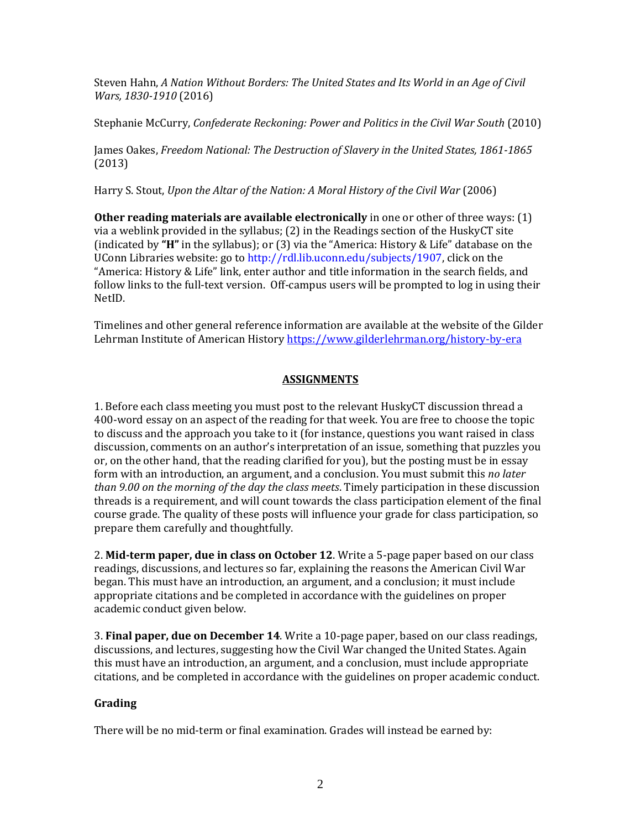Steven Hahn, *A Nation Without Borders: The United States and Its World in an Age of Civil Wars, 1830-1910* (2016)

Stephanie McCurry, *Confederate Reckoning: Power and Politics in the Civil War South* (2010)

James Oakes, *Freedom National: The Destruction of Slavery in the United States, 1861-1865* (2013)

Harry S. Stout, *Upon the Altar of the Nation: A Moral History of the Civil War* (2006)

**Other reading materials are available electronically** in one or other of three ways: (1) via a weblink provided in the syllabus; (2) in the Readings section of the HuskyCT site (indicated by **"H"** in the syllabus); or (3) via the "America: History & Life" database on the UConn Libraries website: go t[o http://rdl.lib.uconn.edu/subjects/1907,](http://rdl.lib.uconn.edu/subjects/1907) click on the "America: History & Life" link, enter author and title information in the search fields, and follow links to the full-text version. Off-campus users will be prompted to log in using their NetID.

Timelines and other general reference information are available at the website of the Gilder Lehrman Institute of American History<https://www.gilderlehrman.org/history-by-era>

# **ASSIGNMENTS**

1. Before each class meeting you must post to the relevant HuskyCT discussion thread a 400-word essay on an aspect of the reading for that week. You are free to choose the topic to discuss and the approach you take to it (for instance, questions you want raised in class discussion, comments on an author's interpretation of an issue, something that puzzles you or, on the other hand, that the reading clarified for you), but the posting must be in essay form with an introduction, an argument, and a conclusion. You must submit this *no later than 9.00 on the morning of the day the class meets*. Timely participation in these discussion threads is a requirement, and will count towards the class participation element of the final course grade. The quality of these posts will influence your grade for class participation, so prepare them carefully and thoughtfully.

2. **Mid-term paper, due in class on October 12**. Write a 5-page paper based on our class readings, discussions, and lectures so far, explaining the reasons the American Civil War began. This must have an introduction, an argument, and a conclusion; it must include appropriate citations and be completed in accordance with the guidelines on proper academic conduct given below.

3. **Final paper, due on December 14**. Write a 10-page paper, based on our class readings, discussions, and lectures, suggesting how the Civil War changed the United States. Again this must have an introduction, an argument, and a conclusion, must include appropriate citations, and be completed in accordance with the guidelines on proper academic conduct.

## **Grading**

There will be no mid-term or final examination. Grades will instead be earned by: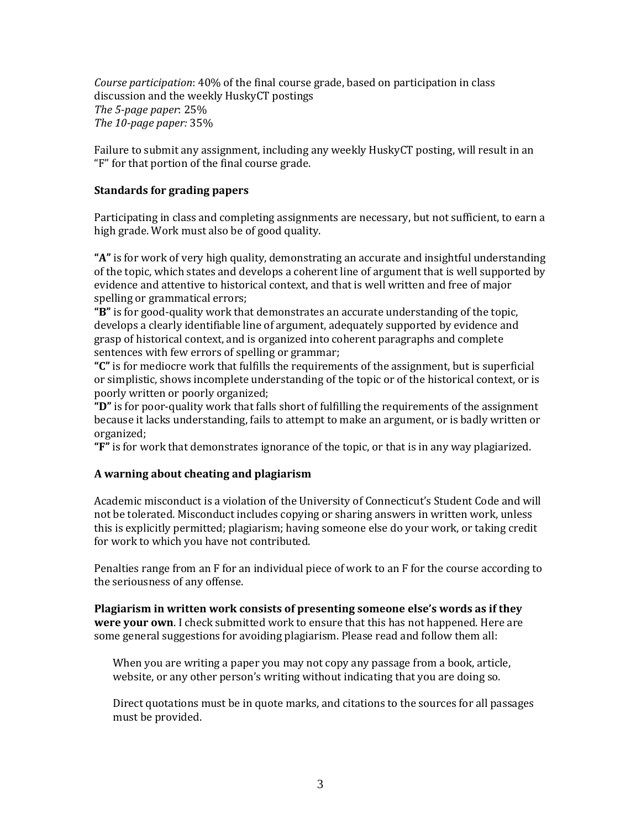*Course participation*: 40% of the final course grade, based on participation in class discussion and the weekly HuskyCT postings *The 5-page paper*: 25% *The 10-page paper:* 35%

Failure to submit any assignment, including any weekly HuskyCT posting, will result in an "F" for that portion of the final course grade.

### **Standards for grading papers**

Participating in class and completing assignments are necessary, but not sufficient, to earn a high grade. Work must also be of good quality.

**"A"** is for work of very high quality, demonstrating an accurate and insightful understanding of the topic, which states and develops a coherent line of argument that is well supported by evidence and attentive to historical context, and that is well written and free of major spelling or grammatical errors;

**"B"** is for good-quality work that demonstrates an accurate understanding of the topic, develops a clearly identifiable line of argument, adequately supported by evidence and grasp of historical context, and is organized into coherent paragraphs and complete sentences with few errors of spelling or grammar;

**"C"** is for mediocre work that fulfills the requirements of the assignment, but is superficial or simplistic, shows incomplete understanding of the topic or of the historical context, or is poorly written or poorly organized;

**"D"** is for poor-quality work that falls short of fulfilling the requirements of the assignment because it lacks understanding, fails to attempt to make an argument, or is badly written or organized;

**"F"** is for work that demonstrates ignorance of the topic, or that is in any way plagiarized.

## **A warning about cheating and plagiarism**

Academic misconduct is a violation of the University of Connecticut's Student Code and will not be tolerated. Misconduct includes copying or sharing answers in written work, unless this is explicitly permitted; plagiarism; having someone else do your work, or taking credit for work to which you have not contributed.

Penalties range from an F for an individual piece of work to an F for the course according to the seriousness of any offense.

**Plagiarism in written work consists of presenting someone else's words as if they were your own**. I check submitted work to ensure that this has not happened. Here are some general suggestions for avoiding plagiarism. Please read and follow them all:

When you are writing a paper you may not copy any passage from a book, article, website, or any other person's writing without indicating that you are doing so.

Direct quotations must be in quote marks, and citations to the sources for all passages must be provided.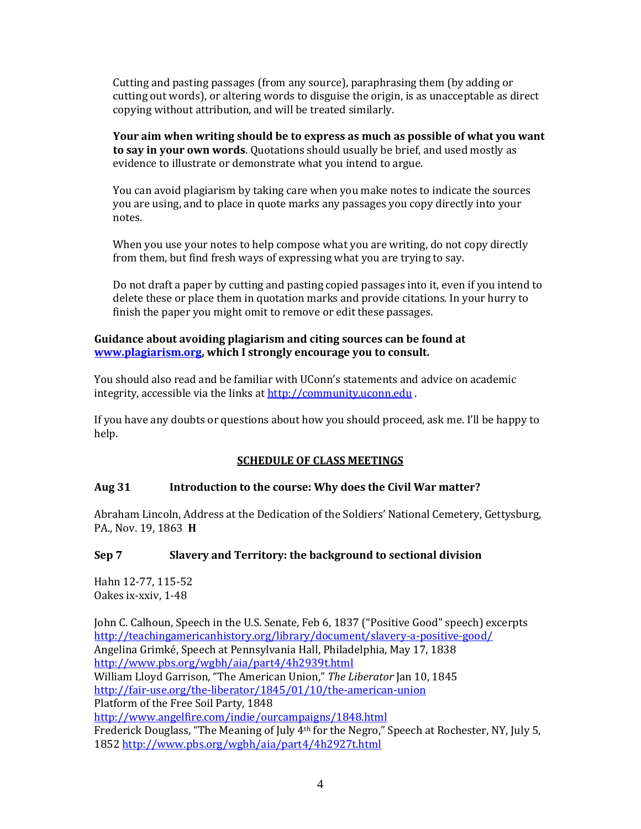Cutting and pasting passages (from any source), paraphrasing them (by adding or cutting out words), or altering words to disguise the origin, is as unacceptable as direct copying without attribution, and will be treated similarly.

**Your aim when writing should be to express as much as possible of what you want to say in your own words**. Quotations should usually be brief, and used mostly as evidence to illustrate or demonstrate what you intend to argue.

You can avoid plagiarism by taking care when you make notes to indicate the sources you are using, and to place in quote marks any passages you copy directly into your notes.

When you use your notes to help compose what you are writing, do not copy directly from them, but find fresh ways of expressing what you are trying to say.

Do not draft a paper by cutting and pasting copied passages into it, even if you intend to delete these or place them in quotation marks and provide citations. In your hurry to finish the paper you might omit to remove or edit these passages.

#### **Guidance about avoiding plagiarism and citing sources can be found at [www.plagiarism.org,](http://www.plagiarism.org/) which I strongly encourage you to consult.**

You should also read and be familiar with UConn's statements and advice on academic integrity, accessible via the links a[t http://community.uconn.edu](http://community.uconn.edu/).

If you have any doubts or questions about how you should proceed, ask me. I'll be happy to help.

## **SCHEDULE OF CLASS MEETINGS**

## **Aug 31 Introduction to the course: Why does the Civil War matter?**

Abraham Lincoln, Address at the Dedication of the Soldiers' National Cemetery, Gettysburg, PA., Nov. 19, 1863 **H**

## **Sep 7 Slavery and Territory: the background to sectional division**

Hahn 12-77, 115-52 Oakes ix-xxiv, 1-48

John C. Calhoun, Speech in the U.S. Senate, Feb 6, 1837 ("Positive Good" speech) excerpts <http://teachingamericanhistory.org/library/document/slavery-a-positive-good/> Angelina Grimké, Speech at Pennsylvania Hall, Philadelphia, May 17, 1838 <http://www.pbs.org/wgbh/aia/part4/4h2939t.html> William Lloyd Garrison, "The American Union," *The Liberator* Jan 10, 1845 <http://fair-use.org/the-liberator/1845/01/10/the-american-union> Platform of the Free Soil Party, 1848 <http://www.angelfire.com/indie/ourcampaigns/1848.html> Frederick Douglass, "The Meaning of July 4<sup>th</sup> for the Negro," Speech at Rochester, NY, July 5, 1852<http://www.pbs.org/wgbh/aia/part4/4h2927t.html>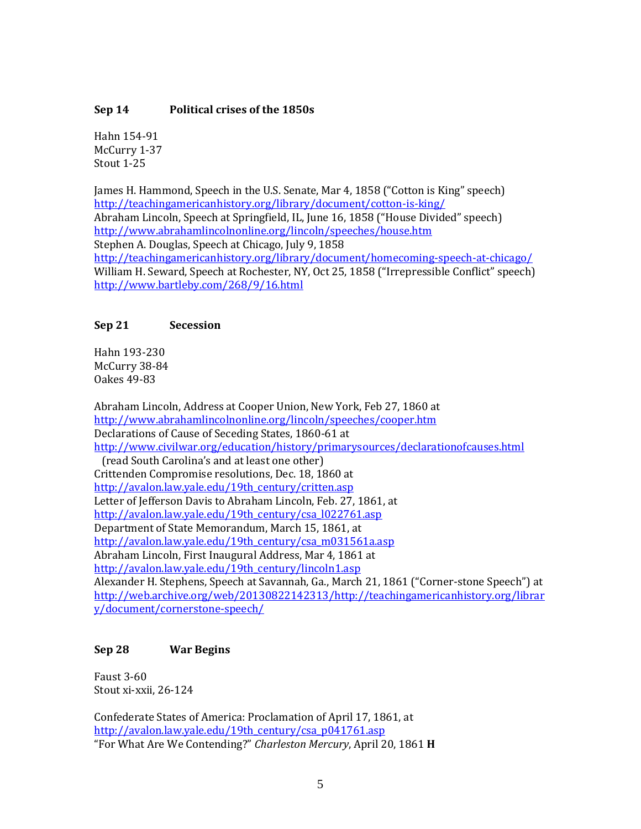### **Sep 14 Political crises of the 1850s**

Hahn 154-91 McCurry 1-37 Stout 1-25

James H. Hammond, Speech in the U.S. Senate, Mar 4, 1858 ("Cotton is King" speech) <http://teachingamericanhistory.org/library/document/cotton-is-king/> Abraham Lincoln, Speech at Springfield, IL, June 16, 1858 ("House Divided" speech) <http://www.abrahamlincolnonline.org/lincoln/speeches/house.htm> Stephen A. Douglas, Speech at Chicago, July 9, 1858 <http://teachingamericanhistory.org/library/document/homecoming-speech-at-chicago/> William H. Seward, Speech at Rochester, NY, Oct 25, 1858 ("Irrepressible Conflict" speech) <http://www.bartleby.com/268/9/16.html>

### **Sep 21 Secession**

Hahn 193-230 McCurry 38-84 Oakes 49-83

Abraham Lincoln, Address at Cooper Union, New York, Feb 27, 1860 at <http://www.abrahamlincolnonline.org/lincoln/speeches/cooper.htm> Declarations of Cause of Seceding States, 1860-61 at <http://www.civilwar.org/education/history/primarysources/declarationofcauses.html> (read South Carolina's and at least one other) Crittenden Compromise resolutions, Dec. 18, 1860 at [http://avalon.law.yale.edu/19th\\_century/critten.asp](http://avalon.law.yale.edu/19th_century/critten.asp) Letter of Jefferson Davis to Abraham Lincoln, Feb. 27, 1861, at [http://avalon.law.yale.edu/19th\\_century/csa\\_l022761.asp](http://avalon.law.yale.edu/19th_century/csa_l022761.asp) Department of State Memorandum, March 15, 1861, at [http://avalon.law.yale.edu/19th\\_century/csa\\_m031561a.asp](http://avalon.law.yale.edu/19th_century/csa_m031561a.asp) Abraham Lincoln, First Inaugural Address, Mar 4, 1861 at [http://avalon.law.yale.edu/19th\\_century/lincoln1.asp](http://avalon.law.yale.edu/19th_century/lincoln1.asp) Alexander H. Stephens, Speech at Savannah, Ga., March 21, 1861 ("Corner-stone Speech") at [http://web.archive.org/web/20130822142313/http://teachingamericanhistory.org/librar](http://web.archive.org/web/20130822142313/http:/teachingamericanhistory.org/library/document/cornerstone-speech/) [y/document/cornerstone-speech/](http://web.archive.org/web/20130822142313/http:/teachingamericanhistory.org/library/document/cornerstone-speech/)

#### **Sep 28 War Begins**

Faust 3-60 Stout xi-xxii, 26-124

Confederate States of America: Proclamation of April 17, 1861, at [http://avalon.law.yale.edu/19th\\_century/csa\\_p041761.asp](http://avalon.law.yale.edu/19th_century/csa_p041761.asp) "For What Are We Contending?" *Charleston Mercury*, April 20, 1861 **H**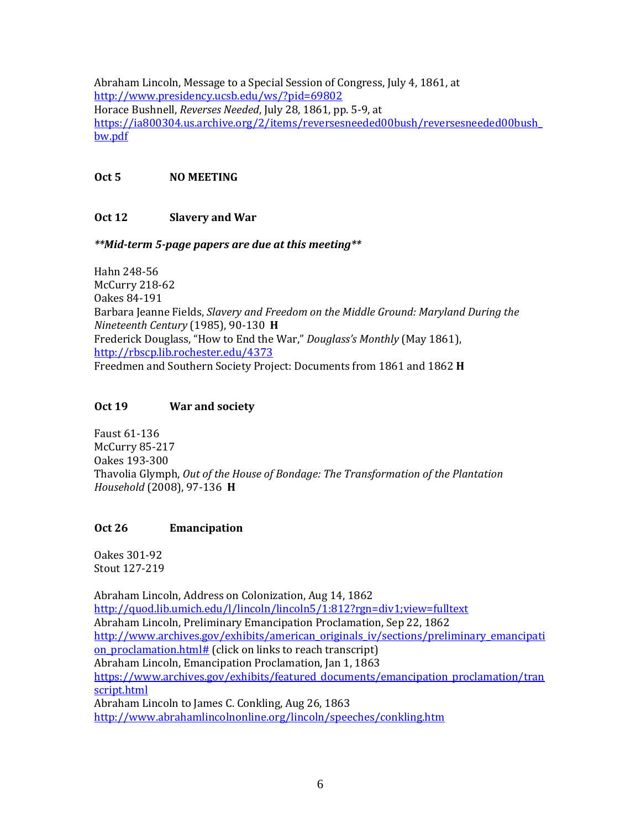Abraham Lincoln, Message to a Special Session of Congress, July 4, 1861, at <http://www.presidency.ucsb.edu/ws/?pid=69802> Horace Bushnell, *Reverses Needed*, July 28, 1861, pp. 5-9, at [https://ia800304.us.archive.org/2/items/reversesneeded00bush/reversesneeded00bush\\_](https://ia800304.us.archive.org/2/items/reversesneeded00bush/reversesneeded00bush_bw.pdf) [bw.pdf](https://ia800304.us.archive.org/2/items/reversesneeded00bush/reversesneeded00bush_bw.pdf)

# **Oct 5 NO MEETING**

# **Oct 12 Slavery and War**

## *\*\*Mid-term 5-page papers are due at this meeting\*\**

Hahn 248-56 McCurry 218-62 Oakes 84-191 Barbara Jeanne Fields, *Slavery and Freedom on the Middle Ground: Maryland During the Nineteenth Century* (1985), 90-130 **H** Frederick Douglass, "How to End the War," *Douglass's Monthly* (May 1861), <http://rbscp.lib.rochester.edu/4373> Freedmen and Southern Society Project: Documents from 1861 and 1862 **H**

# **Oct 19 War and society**

Faust 61-136 McCurry 85-217 Oakes 193-300 Thavolia Glymph, *Out of the House of Bondage: The Transformation of the Plantation Household* (2008), 97-136 **H**

# **Oct 26 Emancipation**

Oakes 301-92 Stout 127-219

Abraham Lincoln, Address on Colonization, Aug 14, 1862 <http://quod.lib.umich.edu/l/lincoln/lincoln5/1:812?rgn=div1;view=fulltext> Abraham Lincoln, Preliminary Emancipation Proclamation, Sep 22, 1862 [http://www.archives.gov/exhibits/american\\_originals\\_iv/sections/preliminary\\_emancipati](http://www.archives.gov/exhibits/american_originals_iv/sections/preliminary_emancipation_proclamation.html) on proclamation.html# (click on links to reach transcript) Abraham Lincoln, Emancipation Proclamation, Jan 1, 1863 [https://www.archives.gov/exhibits/featured\\_documents/emancipation\\_proclamation/tran](https://www.archives.gov/exhibits/featured_documents/emancipation_proclamation/transcript.html) [script.html](https://www.archives.gov/exhibits/featured_documents/emancipation_proclamation/transcript.html) Abraham Lincoln to James C. Conkling, Aug 26, 1863 <http://www.abrahamlincolnonline.org/lincoln/speeches/conkling.htm>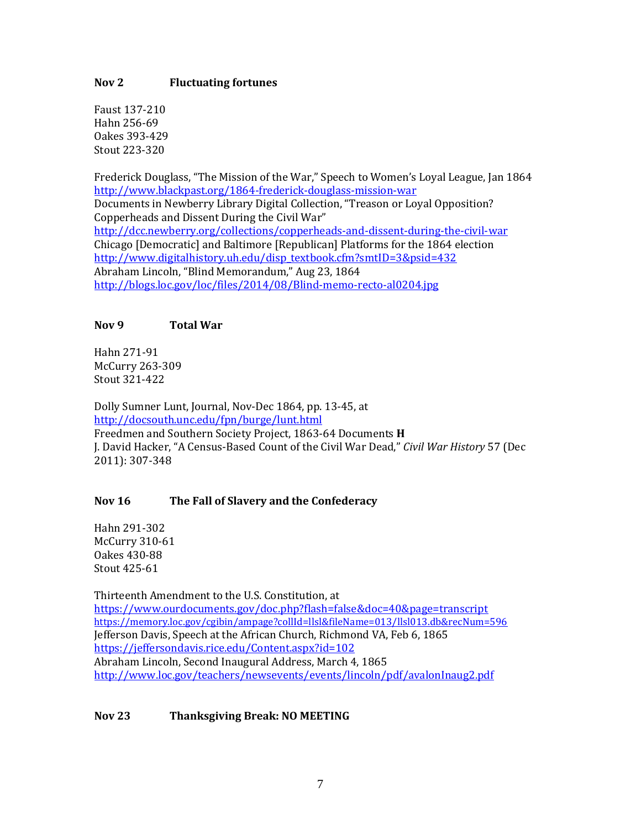### **Nov 2 Fluctuating fortunes**

Faust 137-210 Hahn 256-69 Oakes 393-429 Stout 223-320

Frederick Douglass, "The Mission of the War," Speech to Women's Loyal League, Jan 1864 <http://www.blackpast.org/1864-frederick-douglass-mission-war> Documents in Newberry Library Digital Collection, "Treason or Loyal Opposition? Copperheads and Dissent During the Civil War" <http://dcc.newberry.org/collections/copperheads-and-dissent-during-the-civil-war> Chicago [Democratic] and Baltimore [Republican] Platforms for the 1864 election [http://www.digitalhistory.uh.edu/disp\\_textbook.cfm?smtID=3&psid=432](http://www.digitalhistory.uh.edu/disp_textbook.cfm?smtID=3&psid=432) Abraham Lincoln, "Blind Memorandum," Aug 23, 1864 <http://blogs.loc.gov/loc/files/2014/08/Blind-memo-recto-al0204.jpg>

### **Nov 9 Total War**

Hahn 271-91 McCurry 263-309 Stout 321-422

Dolly Sumner Lunt, Journal, Nov-Dec 1864, pp. 13-45, at <http://docsouth.unc.edu/fpn/burge/lunt.html> Freedmen and Southern Society Project, 1863-64 Documents **H** J. David Hacker, "A Census-Based Count of the Civil War Dead," *Civil War History* 57 (Dec 2011): 307-348

## **Nov 16 The Fall of Slavery and the Confederacy**

Hahn 291-302 McCurry 310-61 Oakes 430-88 Stout 425-61

Thirteenth Amendment to the U.S. Constitution, at <https://www.ourdocuments.gov/doc.php?flash=false&doc=40&page=transcript> <https://memory.loc.gov/cgibin/ampage?collId=llsl&fileName=013/llsl013.db&recNum=596> Jefferson Davis, Speech at the African Church, Richmond VA, Feb 6, 1865 <https://jeffersondavis.rice.edu/Content.aspx?id=102> Abraham Lincoln, Second Inaugural Address, March 4, 1865 <http://www.loc.gov/teachers/newsevents/events/lincoln/pdf/avalonInaug2.pdf>

## **Nov 23 Thanksgiving Break: NO MEETING**